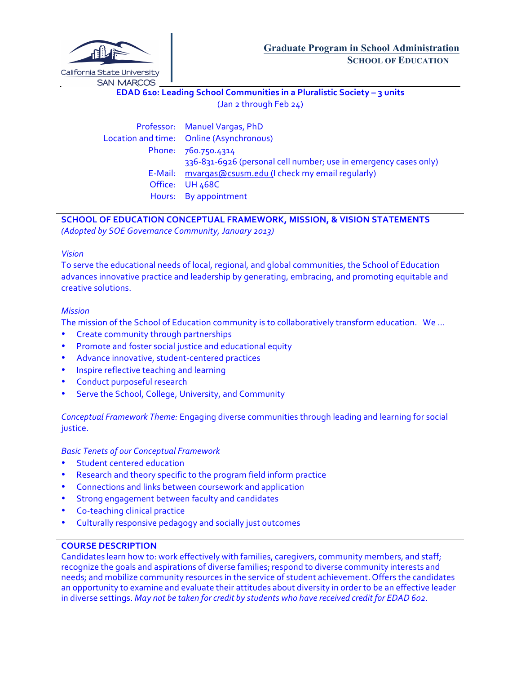

**EDAD 610: Leading School Communities in a Pluralistic Society - 3 units** (Jan 2 through Feb 24)

Professor: Manuel Vargas, PhD Location and time: Online (Asynchronous) Phone: 760.750.4314 336-831-6926 (personal cell number; use in emergency cases only) E-Mail: mvargas@csusm.edu (I check my email regularly) Office: UH 468C Hours: By appointment

# **SCHOOL OF EDUCATION CONCEPTUAL FRAMEWORK, MISSION, & VISION STATEMENTS**

*(Adopted by SOE Governance Community, January 2013)*

## *Vision*

To serve the educational needs of local, regional, and global communities, the School of Education advances innovative practice and leadership by generating, embracing, and promoting equitable and creative solutions.

# *Mission*

The mission of the School of Education community is to collaboratively transform education. We ...

- Create community through partnerships
- Promote and foster social justice and educational equity
- Advance innovative, student-centered practices
- Inspire reflective teaching and learning
- Conduct purposeful research
- Serve the School, College, University, and Community

*Conceptual Framework Theme:* Engaging diverse communities through leading and learning for social justice.

*Basic Tenets of our Conceptual Framework*

- Student centered education
- Research and theory specific to the program field inform practice
- Connections and links between coursework and application
- Strong engagement between faculty and candidates
- Co-teaching clinical practice
- Culturally responsive pedagogy and socially just outcomes

# **COURSE DESCRIPTION**

Candidates learn how to: work effectively with families, caregivers, community members, and staff; recognize the goals and aspirations of diverse families; respond to diverse community interests and needs; and mobilize community resources in the service of student achievement. Offers the candidates an opportunity to examine and evaluate their attitudes about diversity in order to be an effective leader in diverse settings. *May not be taken for credit by students who have received credit for EDAD 602.*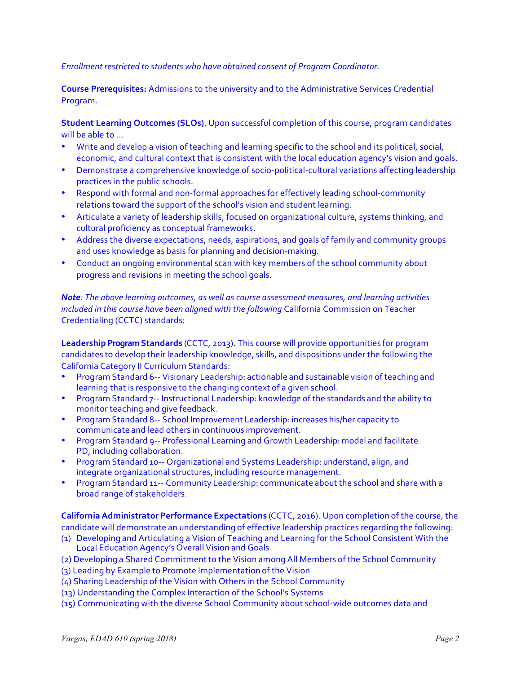### *Enrollment restricted to students who have obtained consent of Program Coordinator.*

**Course Prerequisites:** Admissions to the university and to the Administrative Services Credential Program.

**Student Learning Outcomes (SLOs)**. Upon successful completion of this course, program candidates will be able to ...

- Write and develop a vision of teaching and learning specific to the school and its political, social, economic, and cultural context that is consistent with the local education agency's vision and goals.
- Demonstrate a comprehensive knowledge of socio-political-cultural variations affecting leadership practices in the public schools.
- Respond with formal and non-formal approaches for effectively leading school-community relations toward the support of the school's vision and student learning.
- Articulate a variety of leadership skills, focused on organizational culture, systems thinking, and cultural proficiency as conceptual frameworks.
- Address the diverse expectations, needs, aspirations, and goals of family and community groups and uses knowledge as basis for planning and decision-making.
- Conduct an ongoing environmental scan with key members of the school community about progress and revisions in meeting the school goals.

*Note:* The above learning outcomes, as well as course assessment measures, and learning activities *included in this course have been aligned with the following* California Commission on Teacher Credentialing (CCTC) standards:

**Leadership Program Standards** (CCTC, 2013). This course will provide opportunities for program candidates to develop their leadership knowledge, skills, and dispositions under the following the California Category II Curriculum Standards:

- Program Standard 6-- Visionary Leadership: actionable and sustainable vision of teaching and learning that is responsive to the changing context of a given school.
- Program Standard 7-- Instructional Leadership: knowledge of the standards and the ability to monitor teaching and give feedback.
- Program Standard 8-- School Improvement Leadership: increases his/her capacity to communicate and lead others in continuous improvement.
- Program Standard 9-- Professional Learning and Growth Leadership: model and facilitate PD, including collaboration.
- Program Standard 10-- Organizational and Systems Leadership: understand, align, and integrate organizational structures, including resource management.
- Program Standard 11-- Community Leadership: communicate about the school and share with a broad range of stakeholders.

**California Administrator Performance Expectations (CCTC, 2016). Upon completion of the course, the** candidate will demonstrate an understanding of effective leadership practices regarding the following:

- (1) Developing and Articulating a Vision of Teaching and Learning for the School Consistent With the Local Education Agency's Overall Vision and Goals
- (2) Developing a Shared Commitmentto the Vision among All Members of the School Community
- (3) Leading by Example to Promote Implementation of the Vision
- (4) Sharing Leadership of the Vision with Others in the School Community
- (13) Understanding the Complex Interaction of the School's Systems
- (15) Communicating with the diverse School Community about school-wide outcomes data and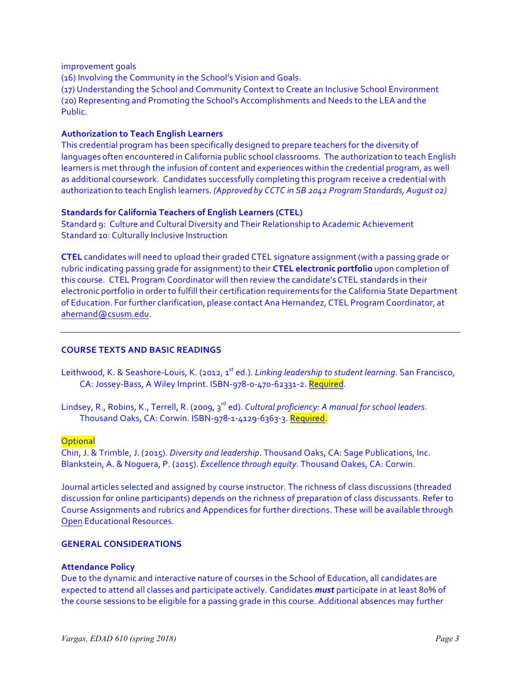improvement goals

(16) Involving the Community in the School's Vision and Goals.

(17) Understanding the School and Community Context to Create an Inclusive School Environment (20) Representing and Promoting the School's Accomplishments and Needs to the LEA and the Public. 

## **Authorization to Teach English Learners**

This credential program has been specifically designed to prepare teachers for the diversity of languages often encountered in California public school classrooms. The authorization to teach English learners is met through the infusion of content and experiences within the credential program, as well as additional coursework. Candidates successfully completing this program receive a credential with authorization to teach English learners. *(Approved by CCTC in SB 2042 Program Standards, August 02)*

## **Standards for California Teachers of English Learners (CTEL)**

Standard 9: Culture and Cultural Diversity and Their Relationship to Academic Achievement Standard 10: Culturally Inclusive Instruction

**CTEL** candidates will need to upload their graded CTEL signature assignment(with a passing grade or rubric indicating passing grade for assignment) to their **CTEL electronic portfolio** upon completion of this course. CTEL Program Coordinator will then review the candidate's CTEL standards in their electronic portfolio in order to fulfill their certification requirements for the California State Department of Education. For further clarification, please contact Ana Hernandez, CTEL Program Coordinator, at ahernand@csusm.edu.

# **COURSE TEXTS AND BASIC READINGS**

Leithwood, K. & Seashore-Louis, K. (2012, 1<sup>st</sup> ed.). *Linking leadership to student learning*. San Francisco, CA: Jossey-Bass, A Wiley Imprint. ISBN-978-0-470-62331-2. Required.

Lindsey, R., Robins, K., Terrell, R. (2009, 3<sup>rd</sup> ed). *Cultural proficiency: A manual for school leaders*. Thousand Oaks, CA: Corwin. ISBN-978-1-4129-6363-3. Required.

### **Optional**

Chin, J. & Trimble, J. (2015). *Diversity and leadership*. Thousand Oaks, CA: Sage Publications, Inc. Blankstein, A. & Noguera, P. (2015). *Excellence through equity*. Thousand Oakes, CA: Corwin.

Journal articles selected and assigned by course instructor. The richness of class discussions (threaded discussion for online participants) depends on the richness of preparation of class discussants. Refer to Course Assignments and rubrics and Appendices for further directions. These will be available through **Open Educational Resources.** 

### **GENERAL CONSIDERATIONS**

### **Attendance Policy**

Due to the dynamic and interactive nature of courses in the School of Education, all candidates are expected to attend all classes and participate actively. Candidates **must** participate in at least 80% of the course sessions to be eligible for a passing grade in this course. Additional absences may further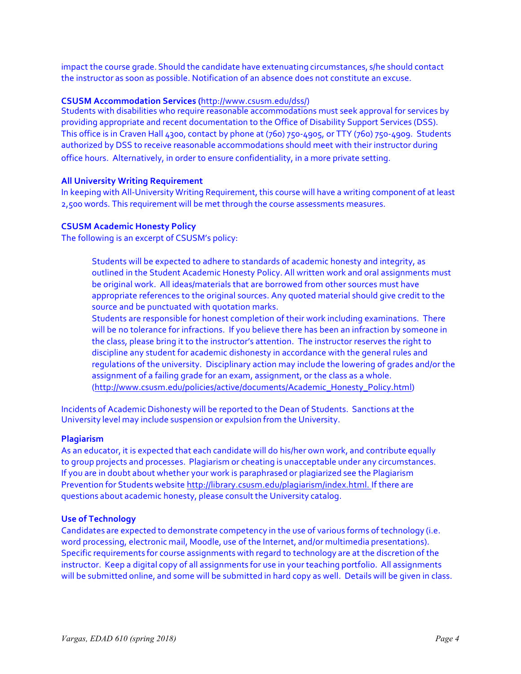impact the course grade. Should the candidate have extenuating circumstances, s/he should contact the instructor as soon as possible. Notification of an absence does not constitute an excuse.

#### **CSUSM Accommodation Services (**http://www.csusm.edu/dss/)

Students with disabilities who require reasonable accommodations must seek approval for services by providing appropriate and recent documentation to the Office of Disability Support Services (DSS). This office is in Craven Hall 4300, contact by phone at (760) 750-4905, or TTY (760) 750-4909. Students authorized by DSS to receive reasonable accommodations should meet with their instructor during office hours. Alternatively, in order to ensure confidentiality, in a more private setting.

### **All University Writing Requirement**

In keeping with All-University Writing Requirement, this course will have a writing component of at least 2,500 words. This requirement will be met through the course assessments measures.

### **CSUSM Academic Honesty Policy**

The following is an excerpt of CSUSM's policy:

Students will be expected to adhere to standards of academic honesty and integrity, as outlined in the Student Academic Honesty Policy. All written work and oral assignments must be original work. All ideas/materials that are borrowed from other sources must have appropriate references to the original sources. Any quoted material should give credit to the source and be punctuated with quotation marks.

Students are responsible for honest completion of their work including examinations. There will be no tolerance for infractions. If you believe there has been an infraction by someone in the class, please bring it to the instructor's attention. The instructor reserves the right to discipline any student for academic dishonesty in accordance with the general rules and regulations of the university. Disciplinary action may include the lowering of grades and/or the assignment of a failing grade for an exam, assignment, or the class as a whole. (http://www.csusm.edu/policies/active/documents/Academic\_Honesty\_Policy.html)

Incidents of Academic Dishonesty will be reported to the Dean of Students. Sanctions at the University level may include suspension or expulsion from the University.

#### **Plagiarism**

As an educator, it is expected that each candidate will do his/her own work, and contribute equally to group projects and processes. Plagiarism or cheating is unacceptable under any circumstances. If you are in doubt about whether your work is paraphrased or plagiarized see the Plagiarism Prevention for Students website http://library.csusm.edu/plagiarism/index.html. If there are questions about academic honesty, please consult the University catalog.

#### **Use of Technology**

Candidates are expected to demonstrate competency in the use of various forms of technology (i.e. word processing, electronic mail, Moodle, use of the Internet, and/or multimedia presentations). Specific requirements for course assignments with regard to technology are at the discretion of the instructor. Keep a digital copy of all assignments for use in your teaching portfolio. All assignments will be submitted online, and some will be submitted in hard copy as well. Details will be given in class.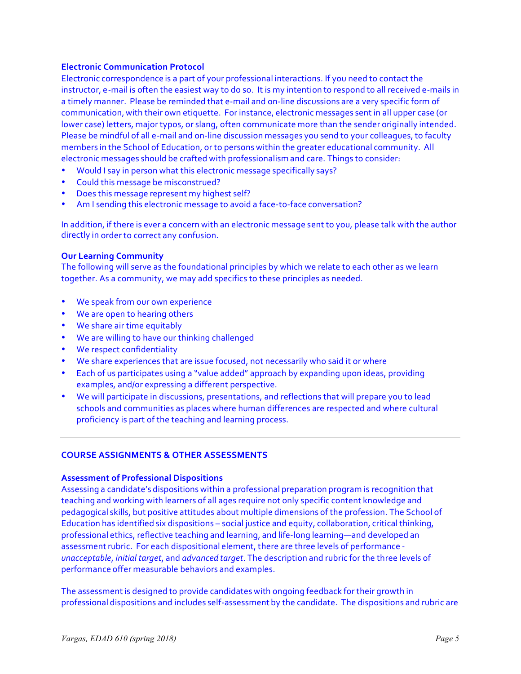### **Electronic Communication Protocol**

Electronic correspondence is a part of your professional interactions. If you need to contact the instructor, e-mail is often the easiest way to do so. It is my intention to respond to all received e-mails in a timely manner. Please be reminded that e-mail and on-line discussions are a very specific form of communication, with their own etiquette. For instance, electronic messages sent in all upper case (or lower case) letters, major typos, or slang, often communicate more than the sender originally intended. Please be mindful of all e-mail and on-line discussion messages you send to your colleagues, to faculty members in the School of Education, or to persons within the greater educational community. All electronic messages should be crafted with professionalism and care. Things to consider:

- Would I say in person what this electronic message specifically says?
- Could this message be misconstrued?
- Does this message represent my highest self?
- Am I sending this electronic message to avoid a face-to-face conversation?

In addition, if there is ever a concern with an electronic message sent to you, please talk with the author directly in order to correct any confusion.

#### **Our Learning Community**

The following will serve as the foundational principles by which we relate to each other as we learn together. As a community, we may add specifics to these principles as needed.

- We speak from our own experience
- We are open to hearing others
- We share air time equitably
- We are willing to have our thinking challenged
- We respect confidentiality
- We share experiences that are issue focused, not necessarily who said it or where
- Each of us participates using a "value added" approach by expanding upon ideas, providing examples, and/or expressing a different perspective.
- We will participate in discussions, presentations, and reflections that will prepare you to lead schools and communities as places where human differences are respected and where cultural proficiency is part of the teaching and learning process.

### **COURSE ASSIGNMENTS & OTHER ASSESSMENTS**

### **Assessment of Professional Dispositions**

Assessing a candidate's dispositions within a professional preparation program is recognition that teaching and working with learners of all ages require not only specific content knowledge and pedagogical skills, but positive attitudes about multiple dimensions of the profession. The School of Education has identified six dispositions – social justice and equity, collaboration, critical thinking, professional ethics, reflective teaching and learning, and life-long learning—and developed an assessment rubric. For each dispositional element, there are three levels of performance *unacceptable*, *initial target*, and *advanced target*. The description and rubric for the three levels of performance offer measurable behaviors and examples.

The assessmentis designed to provide candidates with ongoing feedback for their growth in professional dispositions and includes self-assessment by the candidate. The dispositions and rubric are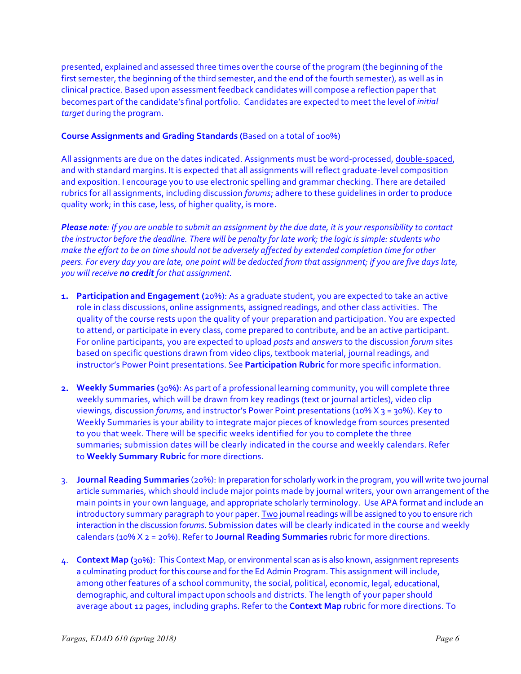presented, explained and assessed three times over the course of the program (the beginning of the first semester, the beginning of the third semester, and the end of the fourth semester), as well as in clinical practice. Based upon assessment feedback candidates will compose a reflection paper that becomes part of the candidate's final portfolio. Candidates are expected to meet the level of *initial target* during the program.

# **Course Assignments and Grading Standards (**Based on a total of 100%)

All assignments are due on the dates indicated. Assignments must be word-processed, double-spaced, and with standard margins. It is expected that all assignments will reflect graduate-level composition and exposition. I encourage you to use electronic spelling and grammar checking. There are detailed rubrics for all assignments, including discussion *forums*; adhere to these quidelines in order to produce quality work; in this case, less, of higher quality, is more.

*Please note:* If you are unable to submit an assignment by the due date, it is your responsibility to contact the instructor before the deadline. There will be penalty for late work; the logic is simple: students who *make the effort to be on time should not be adversely affected by extended completion time for other* peers. For every day you are late, one point will be deducted from that assignment; if you are five days late, *you* will receive **no credit** for that assignment.

- **1. Participation and Engagement** (20%): As a graduate student, you are expected to take an active role in class discussions, online assignments, assigned readings, and other class activities. The quality of the course rests upon the quality of your preparation and participation. You are expected to attend, or participate in every class, come prepared to contribute, and be an active participant. For online participants, you are expected to upload *posts* and *answers* to the discussion *forum* sites based on specific questions drawn from video clips, textbook material, journal readings, and instructor's Power Point presentations. See Participation Rubric for more specific information.
- **2.** Weekly Summaries (30%): As part of a professional learning community, you will complete three weekly summaries, which will be drawn from key readings (text or journal articles), video clip viewings, discussion *forums*, and instructor's Power Point presentations (10% X 3 = 30%). Key to Weekly Summaries is your ability to integrate major pieces of knowledge from sources presented to you that week. There will be specific weeks identified for you to complete the three summaries; submission dates will be clearly indicated in the course and weekly calendars. Refer to **Weekly Summary Rubric** for more directions.
- 3. **Journal Reading Summaries** (20%): In preparation for scholarly work in the program, you will write two journal article summaries, which should include major points made by journal writers, your own arrangement of the main points in your own language, and appropriate scholarly terminology. Use APA format and include an introductory summary paragraph to your paper. Two journal readings will be assigned to you to ensure rich interaction in the discussion forums. Submission dates will be clearly indicated in the course and weekly calendars ( $10\%$   $X$   $z$  =  $20\%$ ). Refer to **Journal Reading Summaries** rubric for more directions.
- 4. **Context Map** (30%): This Context Map, or environmental scan as is also known, assignment represents a culminating product for this course and for the Ed Admin Program. This assignment will include, among other features of a school community, the social, political, economic, legal, educational, demographic, and cultural impact upon schools and districts. The length of your paper should average about 12 pages, including graphs. Refer to the **Context Map** rubric for more directions. To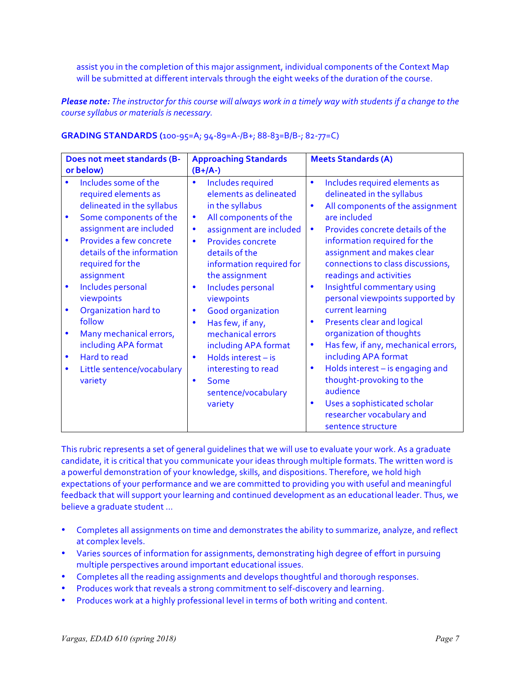assist you in the completion of this major assignment, individual components of the Context Map will be submitted at different intervals through the eight weeks of the duration of the course.

*Please note:* The instructor for this course will always work in a timely way with students if a change to the *course syllabus or materials is necessary.* 

| Does not meet standards (B-<br>or below)                                                                                                                                                                                                                                                                                                                                                                                                           | <b>Approaching Standards</b><br>$(B+/A-)$                                                                                                                                                                                                                                                                                                                                                                                                                                                             | <b>Meets Standards (A)</b>                                                                                                                                                                                                                                                                                                                                                                                                                                                                                                                                                                                                                                                                                    |
|----------------------------------------------------------------------------------------------------------------------------------------------------------------------------------------------------------------------------------------------------------------------------------------------------------------------------------------------------------------------------------------------------------------------------------------------------|-------------------------------------------------------------------------------------------------------------------------------------------------------------------------------------------------------------------------------------------------------------------------------------------------------------------------------------------------------------------------------------------------------------------------------------------------------------------------------------------------------|---------------------------------------------------------------------------------------------------------------------------------------------------------------------------------------------------------------------------------------------------------------------------------------------------------------------------------------------------------------------------------------------------------------------------------------------------------------------------------------------------------------------------------------------------------------------------------------------------------------------------------------------------------------------------------------------------------------|
| Includes some of the<br>required elements as<br>delineated in the syllabus<br>Some components of the<br>assignment are included<br>Provides a few concrete<br>$\bullet$<br>details of the information<br>required for the<br>assignment<br>Includes personal<br>$\bullet$<br>viewpoints<br>Organization hard to<br>follow<br>Many mechanical errors,<br>including APA format<br>Hard to read<br>$\bullet$<br>Little sentence/vocabulary<br>variety | Includes required<br>elements as delineated<br>in the syllabus<br>All components of the<br>$\bullet$<br>assignment are included<br>٠<br>Provides concrete<br>$\bullet$<br>details of the<br>information required for<br>the assignment<br>Includes personal<br>viewpoints<br><b>Good organization</b><br>$\bullet$<br>Has few, if any,<br>$\bullet$<br>mechanical errors<br>including APA format<br>Holds interest - is<br>interesting to read<br>Some<br>$\bullet$<br>sentence/vocabulary<br>variety | Includes required elements as<br>$\bullet$<br>delineated in the syllabus<br>All components of the assignment<br>$\bullet$<br>are included<br>Provides concrete details of the<br>$\bullet$<br>information required for the<br>assignment and makes clear<br>connections to class discussions,<br>readings and activities<br>Insightful commentary using<br>$\bullet$<br>personal viewpoints supported by<br>current learning<br>Presents clear and logical<br>$\bullet$<br>organization of thoughts<br>Has few, if any, mechanical errors,<br>٠<br>including APA format<br>Holds interest - is engaging and<br>$\bullet$<br>thought-provoking to the<br>audience<br>Uses a sophisticated scholar<br>$\bullet$ |
|                                                                                                                                                                                                                                                                                                                                                                                                                                                    |                                                                                                                                                                                                                                                                                                                                                                                                                                                                                                       | researcher vocabulary and<br>sentence structure                                                                                                                                                                                                                                                                                                                                                                                                                                                                                                                                                                                                                                                               |

# **GRADING STANDARDS** (100-95=A; 94-89=A-/B+; 88-83=B/B-; 82-77=C)

This rubric represents a set of general quidelines that we will use to evaluate your work. As a graduate candidate, it is critical that you communicate your ideas through multiple formats. The written word is a powerful demonstration of your knowledge, skills, and dispositions. Therefore, we hold high expectations of your performance and we are committed to providing you with useful and meaningful feedback that will support your learning and continued development as an educational leader. Thus, we believe a graduate student ...

- Completes all assignments on time and demonstrates the ability to summarize, analyze, and reflect at complex levels.
- Varies sources of information for assignments, demonstrating high degree of effort in pursuing multiple perspectives around important educational issues.
- Completes all the reading assignments and develops thoughtful and thorough responses.
- Produces work that reveals a strong commitment to self-discovery and learning.
- Produces work at a highly professional level in terms of both writing and content.